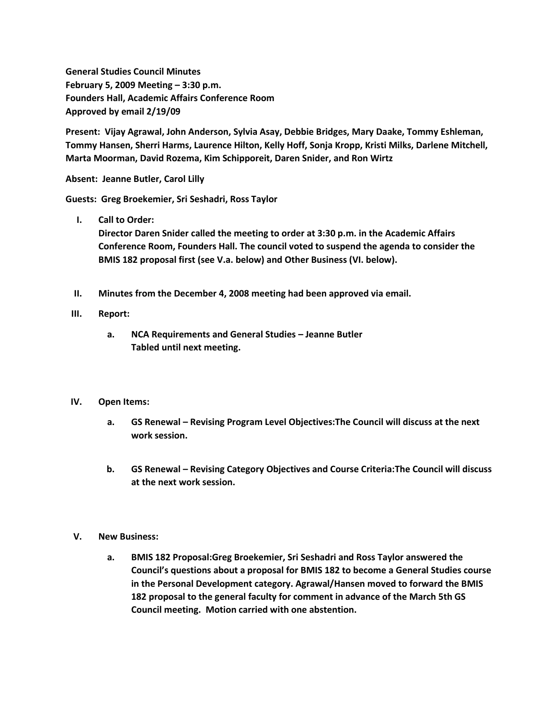**General Studies Council Minutes February 5, 2009 Meeting – 3:30 p.m. Founders Hall, Academic Affairs Conference Room Approved by email 2/19/09**

**Present: Vijay Agrawal, John Anderson, Sylvia Asay, Debbie Bridges, Mary Daake, Tommy Eshleman, Tommy Hansen, Sherri Harms, Laurence Hilton, Kelly Hoff, Sonja Kropp, Kristi Milks, Darlene Mitchell, Marta Moorman, David Rozema, Kim Schipporeit, Daren Snider, and Ron Wirtz**

**Absent: Jeanne Butler, Carol Lilly**

**Guests: Greg Broekemier, Sri Seshadri, Ross Taylor**

**I. Call to Order:**

**Director Daren Snider called the meeting to order at 3:30 p.m. in the Academic Affairs Conference Room, Founders Hall. The council voted to suspend the agenda to consider the BMIS 182 proposal first (see V.a. below) and Other Business (VI. below).**

**II. Minutes from the December 4, 2008 meeting had been approved via email.**

## **III. Report:**

**a. NCA Requirements and General Studies – Jeanne Butler Tabled until next meeting.**

## **IV. Open Items:**

- **a. GS Renewal – Revising Program Level Objectives:The Council will discuss at the next work session.**
- **b. GS Renewal – Revising Category Objectives and Course Criteria:The Council will discuss at the next work session.**

## **V. New Business:**

**a. BMIS 182 Proposal:Greg Broekemier, Sri Seshadri and Ross Taylor answered the Council's questions about a proposal for BMIS 182 to become a General Studies course in the Personal Development category. Agrawal/Hansen moved to forward the BMIS 182 proposal to the general faculty for comment in advance of the March 5th GS Council meeting. Motion carried with one abstention.**